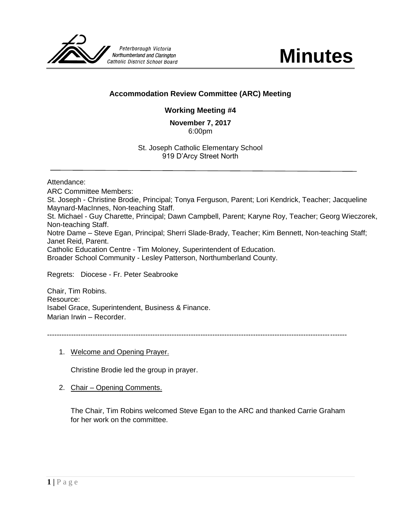

# **Accommodation Review Committee (ARC) Meeting**

# **Working Meeting #4**

**November 7, 2017** 6:00pm

St. Joseph Catholic Elementary School 919 D'Arcy Street North

Attendance:

ARC Committee Members: St. Joseph - Christine Brodie, Principal; Tonya Ferguson, Parent; Lori Kendrick, Teacher; Jacqueline Maynard-MacInnes, Non-teaching Staff. St. Michael - Guy Charette, Principal; Dawn Campbell, Parent; Karyne Roy, Teacher; Georg Wieczorek, Non-teaching Staff. Notre Dame – Steve Egan, Principal; Sherri Slade-Brady, Teacher; Kim Bennett, Non-teaching Staff; Janet Reid, Parent. Catholic Education Centre - Tim Moloney, Superintendent of Education. Broader School Community - Lesley Patterson, Northumberland County.

Regrets: Diocese - Fr. Peter Seabrooke

Chair, Tim Robins. Resource: Isabel Grace, Superintendent, Business & Finance. Marian Irwin – Recorder.

-----------------------------------------------------------------------------------------------------------------------------

1. Welcome and Opening Prayer.

Christine Brodie led the group in prayer.

2. Chair – Opening Comments.

The Chair, Tim Robins welcomed Steve Egan to the ARC and thanked Carrie Graham for her work on the committee.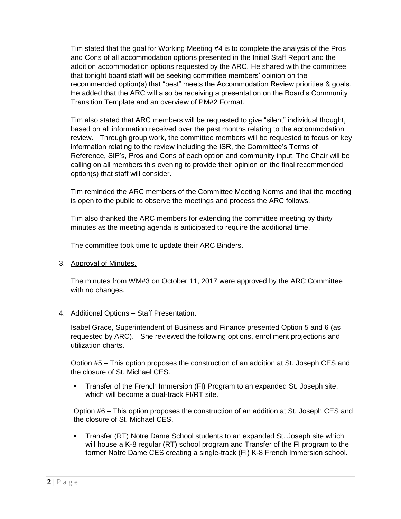Tim stated that the goal for Working Meeting #4 is to complete the analysis of the Pros and Cons of all accommodation options presented in the Initial Staff Report and the addition accommodation options requested by the ARC. He shared with the committee that tonight board staff will be seeking committee members' opinion on the recommended option(s) that "best" meets the Accommodation Review priorities & goals. He added that the ARC will also be receiving a presentation on the Board's Community Transition Template and an overview of PM#2 Format.

Tim also stated that ARC members will be requested to give "silent" individual thought, based on all information received over the past months relating to the accommodation review. Through group work, the committee members will be requested to focus on key information relating to the review including the ISR, the Committee's Terms of Reference, SIP's, Pros and Cons of each option and community input. The Chair will be calling on all members this evening to provide their opinion on the final recommended option(s) that staff will consider.

Tim reminded the ARC members of the Committee Meeting Norms and that the meeting is open to the public to observe the meetings and process the ARC follows.

Tim also thanked the ARC members for extending the committee meeting by thirty minutes as the meeting agenda is anticipated to require the additional time.

The committee took time to update their ARC Binders.

3. Approval of Minutes.

The minutes from WM#3 on October 11, 2017 were approved by the ARC Committee with no changes.

4. Additional Options – Staff Presentation.

Isabel Grace, Superintendent of Business and Finance presented Option 5 and 6 (as requested by ARC). She reviewed the following options, enrollment projections and utilization charts.

Option #5 – This option proposes the construction of an addition at St. Joseph CES and the closure of St. Michael CES.

 Transfer of the French Immersion (FI) Program to an expanded St. Joseph site, which will become a dual-track FI/RT site.

Option #6 – This option proposes the construction of an addition at St. Joseph CES and the closure of St. Michael CES.

 Transfer (RT) Notre Dame School students to an expanded St. Joseph site which will house a K-8 regular (RT) school program and Transfer of the FI program to the former Notre Dame CES creating a single-track (FI) K-8 French Immersion school.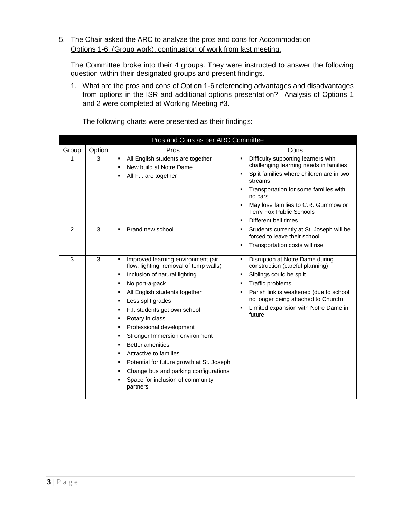## 5. The Chair asked the ARC to analyze the pros and cons for Accommodation Options 1-6. (Group work), continuation of work from last meeting.

The Committee broke into their 4 groups. They were instructed to answer the following question within their designated groups and present findings.

1. What are the pros and cons of Option 1-6 referencing advantages and disadvantages from options in the ISR and additional options presentation? Analysis of Options 1 and 2 were completed at Working Meeting #3.

|                | Pros and Cons as per ARC Committee |                                                                                                                                                                                                                                                                                                                                                                                                                                                                                                                                                |                                                                                                                                                                                                                                                                                                                                |  |
|----------------|------------------------------------|------------------------------------------------------------------------------------------------------------------------------------------------------------------------------------------------------------------------------------------------------------------------------------------------------------------------------------------------------------------------------------------------------------------------------------------------------------------------------------------------------------------------------------------------|--------------------------------------------------------------------------------------------------------------------------------------------------------------------------------------------------------------------------------------------------------------------------------------------------------------------------------|--|
| Group          | Option                             | Pros                                                                                                                                                                                                                                                                                                                                                                                                                                                                                                                                           | Cons                                                                                                                                                                                                                                                                                                                           |  |
|                | 3                                  | All English students are together<br>New build at Notre Dame<br>All F.I. are together                                                                                                                                                                                                                                                                                                                                                                                                                                                          | Difficulty supporting learners with<br>challenging learning needs in families<br>Split families where children are in two<br>$\blacksquare$<br>streams<br>Transportation for some families with<br>no cars<br>May lose families to C.R. Gummow or<br><b>Terry Fox Public Schools</b><br>Different bell times<br>$\blacksquare$ |  |
| $\overline{2}$ | 3                                  | Brand new school                                                                                                                                                                                                                                                                                                                                                                                                                                                                                                                               | Students currently at St. Joseph will be<br>٠<br>forced to leave their school<br>Transportation costs will rise                                                                                                                                                                                                                |  |
| 3              | 3                                  | Improved learning environment (air<br>٠<br>flow, lighting, removal of temp walls)<br>Inclusion of natural lighting<br>No port-a-pack<br>٠<br>All English students together<br>Less split grades<br>٠<br>F.I. students get own school<br>Rotary in class<br>٠<br>Professional development<br>٠<br>Stronger Immersion environment<br>٠<br><b>Better amenities</b><br>Attractive to families<br>٠<br>Potential for future growth at St. Joseph<br>٠<br>Change bus and parking configurations<br>٠<br>Space for inclusion of community<br>partners | Disruption at Notre Dame during<br>٠<br>construction (careful planning)<br>Siblings could be split<br>$\blacksquare$<br>Traffic problems<br>Parish link is weakened (due to school<br>no longer being attached to Church)<br>Limited expansion with Notre Dame in<br>future                                                    |  |

The following charts were presented as their findings: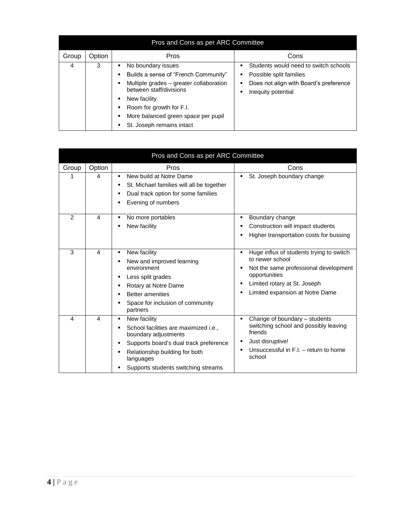| Pros and Cons as per ARC Committee |        |                                                                                                                                                                                                                                                                    |                                                                                                                                  |
|------------------------------------|--------|--------------------------------------------------------------------------------------------------------------------------------------------------------------------------------------------------------------------------------------------------------------------|----------------------------------------------------------------------------------------------------------------------------------|
| Group                              | Option | Pros                                                                                                                                                                                                                                                               | Cons                                                                                                                             |
| 4                                  | 3      | No boundary issues<br>$\blacksquare$<br>Builds a sense of "French Community"<br>Multiple grades – greater collaboration<br>between staff/divisions<br>New facility<br>Room for growth for F.I.<br>More balanced green space per pupil<br>St. Joseph remains intact | Students would need to switch schools<br>Possible split families<br>Does not align with Board's preference<br>Inequity potential |

|                |                        | Pros and Cons as per ARC Committee                                                                                                                                                                                           |                                                                                                                                                                                          |
|----------------|------------------------|------------------------------------------------------------------------------------------------------------------------------------------------------------------------------------------------------------------------------|------------------------------------------------------------------------------------------------------------------------------------------------------------------------------------------|
| Group          | Option                 | Pros                                                                                                                                                                                                                         | Cons                                                                                                                                                                                     |
|                | 4                      | New build at Notre Dame<br>٠<br>St. Michael families will all be together<br>٠<br>Dual track option for some families<br>٠<br>Evening of numbers                                                                             | St. Joseph boundary change                                                                                                                                                               |
| $\overline{2}$ | 4                      | No more portables<br>٠<br>New facility                                                                                                                                                                                       | Boundary change<br>Construction will impact students<br>Higher transportation costs for bussing                                                                                          |
| 3              | $\boldsymbol{\Lambda}$ | New facility<br>٠<br>New and improved learning<br>٠<br>environment<br>Less split grades<br>٠<br>Rotary at Notre Dame<br>٠<br><b>Better amenities</b><br>٠<br>Space for inclusion of community<br>٠<br>partners               | Huge influx of students trying to switch<br>to newer school<br>Not the same professional development<br>opportunities<br>Limited rotary at St. Joseph<br>Limited expansion at Notre Dame |
| 4              | $\overline{4}$         | New facility<br>٠<br>School facilities are maximized i.e.,<br>٠<br>boundary adjustments<br>Supports board's dual track preference<br>Relationship building for both<br>٠<br>languages<br>Supports students switching streams | Change of boundary - students<br>switching school and possibly leaving<br>friends<br>Just disruptive!<br>Unsuccessful in F.I. - return to home<br>school                                 |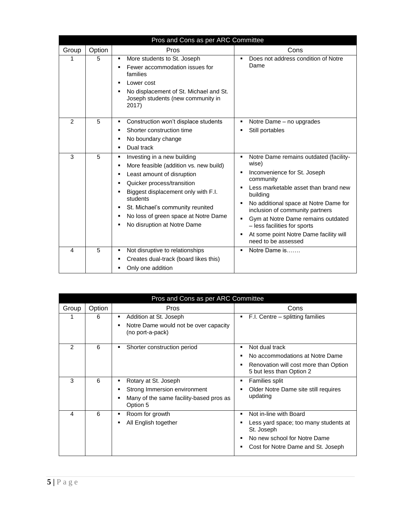|                |        | Pros and Cons as per ARC Committee                                                                                                                                                                                                                                                                                                         |                                                                                                                                                                                                                                                                                                                                                                          |
|----------------|--------|--------------------------------------------------------------------------------------------------------------------------------------------------------------------------------------------------------------------------------------------------------------------------------------------------------------------------------------------|--------------------------------------------------------------------------------------------------------------------------------------------------------------------------------------------------------------------------------------------------------------------------------------------------------------------------------------------------------------------------|
| Group          | Option | Pros                                                                                                                                                                                                                                                                                                                                       | Cons                                                                                                                                                                                                                                                                                                                                                                     |
| 1              | 5      | More students to St. Joseph<br>٠<br>Fewer accommodation issues for<br>families<br>Lower cost<br>No displacement of St. Michael and St.<br>Joseph students (new community in<br>2017)                                                                                                                                                       | Does not address condition of Notre<br>Dame                                                                                                                                                                                                                                                                                                                              |
| $\overline{2}$ | 5      | Construction won't displace students<br>Ξ<br>Shorter construction time<br>No boundary change<br>٠<br>Dual track<br>$\blacksquare$                                                                                                                                                                                                          | Notre Dame – no upgrades<br>Still portables                                                                                                                                                                                                                                                                                                                              |
| 3              | 5      | Investing in a new building<br>Ξ<br>More feasible (addition vs. new build)<br>п<br>Least amount of disruption<br>٠<br>Quicker process/transition<br>$\blacksquare$<br>Biggest displacement only with F.I.<br>students<br>St. Michael's community reunited<br>No loss of green space at Notre Dame<br>٠<br>No disruption at Notre Dame<br>٠ | Notre Dame remains outdated (facility-<br>wise)<br>Inconvenience for St. Joseph<br>community<br>Less marketable asset than brand new<br>building<br>No additional space at Notre Dame for<br>٠<br>inclusion of community partners<br>Gym at Notre Dame remains outdated<br>- less facilities for sports<br>At some point Notre Dame facility will<br>need to be assessed |
| 4              | 5      | Not disruptive to relationships<br>٠<br>Creates dual-track (board likes this)<br>٠<br>Only one addition                                                                                                                                                                                                                                    | Notre Dame is                                                                                                                                                                                                                                                                                                                                                            |

| Pros and Cons as per ARC Committee |        |                                                                       |                                                                   |
|------------------------------------|--------|-----------------------------------------------------------------------|-------------------------------------------------------------------|
| Group                              | Option | Pros                                                                  | Cons                                                              |
|                                    | 6      | Addition at St. Joseph<br>٠                                           | F.I. Centre – splitting families                                  |
|                                    |        | Notre Dame would not be over capacity<br>(no port-a-pack)             |                                                                   |
| $\mathfrak{p}$                     | 6      | Shorter construction period<br>٠                                      | Not dual track                                                    |
|                                    |        |                                                                       | No accommodations at Notre Dame                                   |
|                                    |        |                                                                       | Renovation will cost more than Option<br>5 but less than Option 2 |
| 3                                  | 6      | Rotary at St. Joseph<br>٠                                             | Families split                                                    |
|                                    |        | Strong Immersion environment<br>٠                                     | Older Notre Dame site still requires                              |
|                                    |        | Many of the same facility-based pros as<br>$\blacksquare$<br>Option 5 | updating                                                          |
| 4                                  | 6      | Room for growth<br>٠                                                  | Not in-line with Board                                            |
|                                    |        | All English together                                                  | Less yard space; too many students at<br>St. Joseph               |
|                                    |        |                                                                       | No new school for Notre Dame                                      |
|                                    |        |                                                                       | Cost for Notre Dame and St. Joseph                                |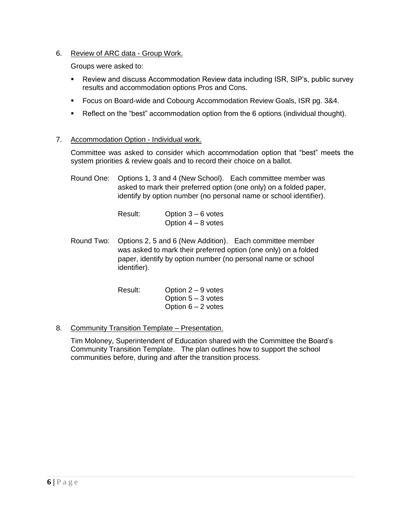6. Review of ARC data - Group Work.

Groups were asked to:

- Review and discuss Accommodation Review data including ISR, SIP's, public survey results and accommodation options Pros and Cons.
- **Focus on Board-wide and Cobourg Accommodation Review Goals, ISR pg. 3&4.**
- Reflect on the "best" accommodation option from the 6 options (individual thought).

### 7. Accommodation Option - Individual work.

Committee was asked to consider which accommodation option that "best" meets the system priorities & review goals and to record their choice on a ballot.

Round One: Options 1, 3 and 4 (New School). Each committee member was asked to mark their preferred option (one only) on a folded paper, identify by option number (no personal name or school identifier).

| Result: | Option $3 - 6$ votes |
|---------|----------------------|
|         | Option $4 - 8$ votes |

Round Two: Options 2, 5 and 6 (New Addition). Each committee member was asked to mark their preferred option (one only) on a folded paper, identify by option number (no personal name or school identifier).

| Result: | Option $2 - 9$ votes |
|---------|----------------------|
|         | Option $5 - 3$ votes |
|         | Option $6 - 2$ votes |

8. Community Transition Template – Presentation.

Tim Moloney, Superintendent of Education shared with the Committee the Board's Community Transition Template. The plan outlines how to support the school communities before, during and after the transition process.